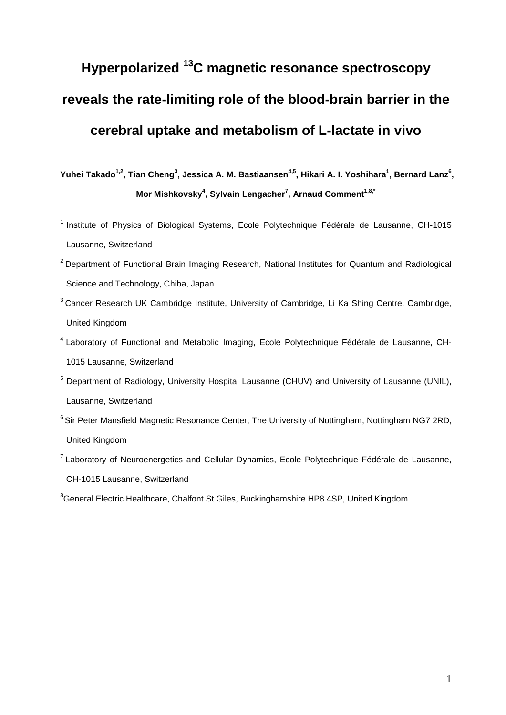# **Hyperpolarized 13C magnetic resonance spectroscopy reveals the rate-limiting role of the blood-brain barrier in the cerebral uptake and metabolism of L-lactate in vivo**

Yuhei Takado<sup>1,2</sup>, Tian Cheng<sup>3</sup>, Jessica A. M. Bastiaansen<sup>4,5</sup>, Hikari A. I. Yoshihara<sup>1</sup>, Bernard Lanz<sup>6</sup>, **Mor Mishkovsky4 , Sylvain Lengacher7 , Arnaud Comment1,8,\***

- <sup>1</sup> Institute of Physics of Biological Systems, Ecole Polytechnique Fédérale de Lausanne, CH-1015 Lausanne, Switzerland
- $2$  Department of Functional Brain Imaging Research, National Institutes for Quantum and Radiological Science and Technology, Chiba, Japan
- <sup>3</sup> Cancer Research UK Cambridge Institute, University of Cambridge, Li Ka Shing Centre, Cambridge, United Kingdom
- <sup>4</sup> Laboratory of Functional and Metabolic Imaging, Ecole Polytechnique Fédérale de Lausanne, CH-1015 Lausanne, Switzerland
- <sup>5</sup> Department of Radiology, University Hospital Lausanne (CHUV) and University of Lausanne (UNIL), Lausanne, Switzerland
- <sup>6</sup> Sir Peter Mansfield Magnetic Resonance Center, The University of Nottingham, Nottingham NG7 2RD, United Kingdom
- $7$  Laboratory of Neuroenergetics and Cellular Dynamics, Ecole Polytechnique Fédérale de Lausanne, CH-1015 Lausanne, Switzerland

<sup>&</sup>lt;sup>8</sup>General Electric Healthcare, Chalfont St Giles, Buckinghamshire HP8 4SP, United Kingdom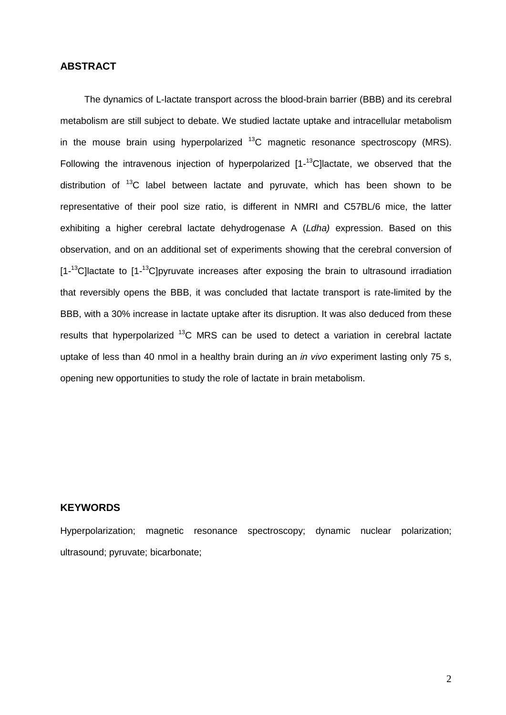# **ABSTRACT**

The dynamics of L-lactate transport across the blood-brain barrier (BBB) and its cerebral metabolism are still subject to debate. We studied lactate uptake and intracellular metabolism in the mouse brain using hyperpolarized  $^{13}$ C magnetic resonance spectroscopy (MRS). Following the intravenous injection of hyperpolarized [1-<sup>13</sup>C]lactate, we observed that the distribution of  $13^{\circ}$ C label between lactate and pyruvate, which has been shown to be representative of their pool size ratio, is different in NMRI and C57BL/6 mice, the latter exhibiting a higher cerebral lactate dehydrogenase A (*Ldha)* expression. Based on this observation, and on an additional set of experiments showing that the cerebral conversion of [1-<sup>13</sup>C]lactate to [1-<sup>13</sup>C]pyruvate increases after exposing the brain to ultrasound irradiation that reversibly opens the BBB, it was concluded that lactate transport is rate-limited by the BBB, with a 30% increase in lactate uptake after its disruption. It was also deduced from these results that hyperpolarized <sup>13</sup>C MRS can be used to detect a variation in cerebral lactate uptake of less than 40 nmol in a healthy brain during an *in vivo* experiment lasting only 75 s, opening new opportunities to study the role of lactate in brain metabolism.

# **KEYWORDS**

Hyperpolarization; magnetic resonance spectroscopy; dynamic nuclear polarization; ultrasound; pyruvate; bicarbonate;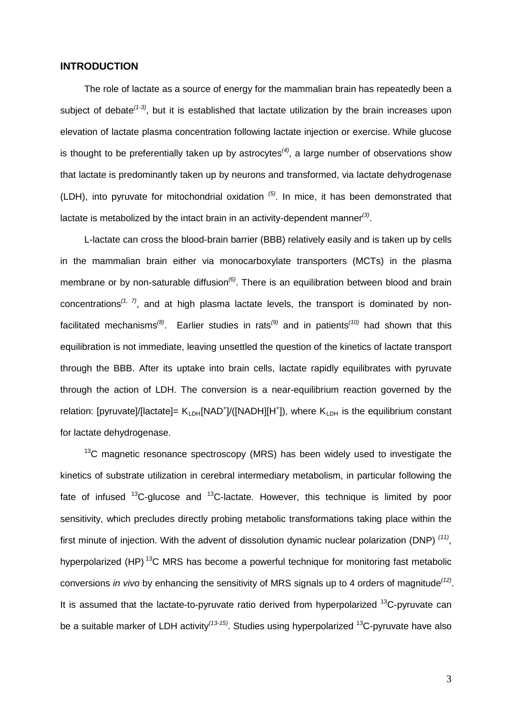#### **INTRODUCTION**

The role of lactate as a source of energy for the mammalian brain has repeatedly been a subject of debate<sup>[\(1-3\)](#page-15-0)</sup>, but it is established that lactate utilization by the brain increases upon elevation of lactate plasma concentration following lactate injection or exercise. While glucose is thought to be preferentially taken up by astrocytes*[\(4\)](#page-15-1)* , a large number of observations show that lactate is predominantly taken up by neurons and transformed, via lactate dehydrogenase (LDH), into pyruvate for mitochondrial oxidation *[\(5\)](#page-15-2)* . In mice, it has been demonstrated that lactate is metabolized by the intact brain in an activity-dependent manner<sup>[\(3\)](#page-15-3)</sup>.

L-lactate can cross the blood-brain barrier (BBB) relatively easily and is taken up by cells in the mammalian brain either via monocarboxylate transporters (MCTs) in the plasma membrane or by non-saturable diffusion*[\(6\)](#page-15-4)* . There is an equilibration between blood and brain concentrations*[\(1,](#page-15-0) [7\)](#page-15-5)* , and at high plasma lactate levels, the transport is dominated by non-facilitated mechanisms<sup>[\(8\)](#page-15-6)</sup>. Earlier studies in rats<sup>[\(9\)](#page-15-7)</sup> and in patients<sup>[\(10\)](#page-16-0)</sup> had shown that this equilibration is not immediate, leaving unsettled the question of the kinetics of lactate transport through the BBB. After its uptake into brain cells, lactate rapidly equilibrates with pyruvate through the action of LDH. The conversion is a near-equilibrium reaction governed by the relation: [pyruvate]/[lactate]= K<sub>LDH</sub>[NAD<sup>+</sup>]/([NADH][H<sup>+</sup>]), where K<sub>LDH</sub> is the equilibrium constant for lactate dehydrogenase.

 $13<sup>13</sup>C$  magnetic resonance spectroscopy (MRS) has been widely used to investigate the kinetics of substrate utilization in cerebral intermediary metabolism, in particular following the fate of infused  $^{13}$ C-glucose and  $^{13}$ C-lactate. However, this technique is limited by poor sensitivity, which precludes directly probing metabolic transformations taking place within the first minute of injection. With the advent of dissolution dynamic nuclear polarization (DNP) *[\(11\)](#page-16-1)* , hyperpolarized (HP)<sup>13</sup>C MRS has become a powerful technique for monitoring fast metabolic conversions *in vivo* by enhancing the sensitivity of MRS signals up to 4 orders of magnitude*[\(12\)](#page-16-2)* . It is assumed that the lactate-to-pyruvate ratio derived from hyperpolarized  $^{13}$ C-pyruvate can be a suitable marker of LDH activity*[\(13-15\)](#page-16-3)* . Studies using hyperpolarized 13C-pyruvate have also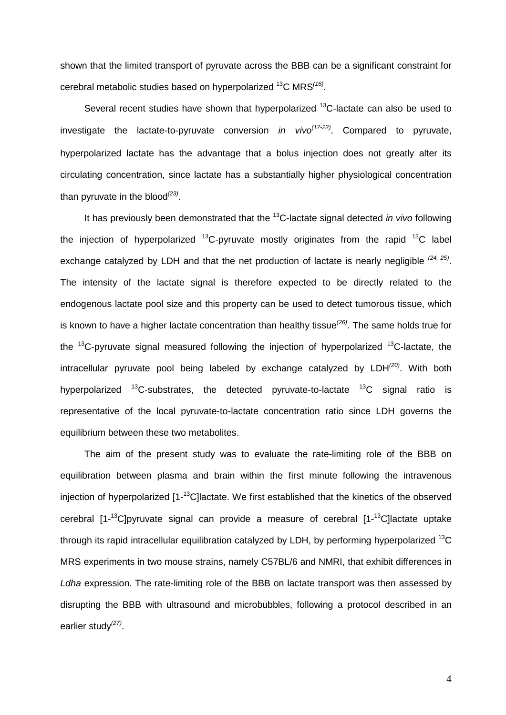shown that the limited transport of pyruvate across the BBB can be a significant constraint for cerebral metabolic studies based on hyperpolarized 13C MRS*[\(16\)](#page-16-4)* .

Several recent studies have shown that hyperpolarized <sup>13</sup>C-lactate can also be used to investigate the lactate-to-pyruvate conversion *in vivo[\(17-22\)](#page-16-5)* . Compared to pyruvate, hyperpolarized lactate has the advantage that a bolus injection does not greatly alter its circulating concentration, since lactate has a substantially higher physiological concentration than pyruvate in the blood*[\(23\)](#page-16-6)* .

It has previously been demonstrated that the 13C-lactate signal detected *in vivo* following the injection of hyperpolarized  $^{13}$ C-pyruvate mostly originates from the rapid  $^{13}$ C label exchange catalyzed by LDH and that the net production of lactate is nearly negligible <sup>[\(24,](#page-16-7) [25\)](#page-16-8)</sup>. The intensity of the lactate signal is therefore expected to be directly related to the endogenous lactate pool size and this property can be used to detect tumorous tissue, which is known to have a higher lactate concentration than healthy tissue*[\(26\)](#page-17-0)* . The same holds true for the  $13C$ -pyruvate signal measured following the injection of hyperpolarized  $13C$ -lactate, the intracellular pyruvate pool being labeled by exchange catalyzed by LDH*[\(20\)](#page-16-9)* . With both hyperpolarized  $^{13}$ C-substrates, the detected pyruvate-to-lactate  $^{13}$ C signal ratio is representative of the local pyruvate-to-lactate concentration ratio since LDH governs the equilibrium between these two metabolites.

The aim of the present study was to evaluate the rate-limiting role of the BBB on equilibration between plasma and brain within the first minute following the intravenous injection of hyperpolarized [1-<sup>13</sup>C]lactate. We first established that the kinetics of the observed cerebral [1-<sup>13</sup>C]pyruvate signal can provide a measure of cerebral [1-<sup>13</sup>C]lactate uptake through its rapid intracellular equilibration catalyzed by LDH, by performing hyperpolarized <sup>13</sup>C MRS experiments in two mouse strains, namely C57BL/6 and NMRI, that exhibit differences in *Ldha* expression. The rate-limiting role of the BBB on lactate transport was then assessed by disrupting the BBB with ultrasound and microbubbles, following a protocol described in an earlier study*[\(27\)](#page-17-1)* .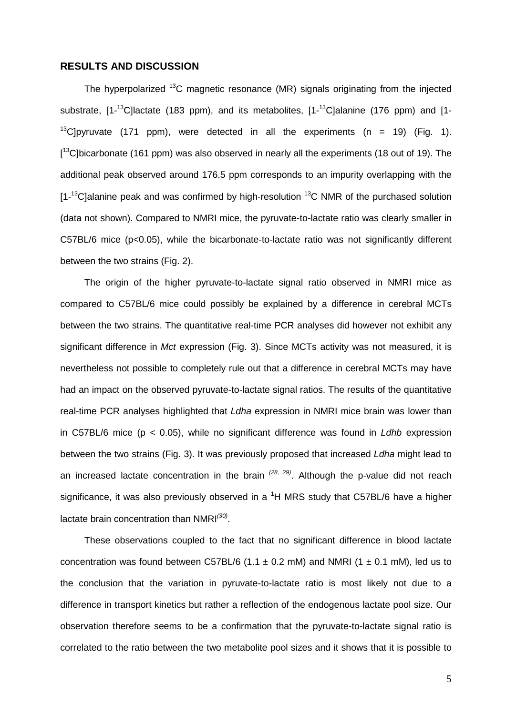#### **RESULTS AND DISCUSSION**

The hyperpolarized  $^{13}$ C magnetic resonance (MR) signals originating from the injected substrate, [1-<sup>13</sup>C]lactate (183 ppm), and its metabolites, [1-<sup>13</sup>C]alanine (176 ppm) and [1-<sup>13</sup>C]pyruvate (171 ppm), were detected in all the experiments (n = 19) (Fig. 1). [<sup>13</sup>C]bicarbonate (161 ppm) was also observed in nearly all the experiments (18 out of 19). The additional peak observed around 176.5 ppm corresponds to an impurity overlapping with the  $[1 - 13C]$ alanine peak and was confirmed by high-resolution  $13C$  NMR of the purchased solution (data not shown). Compared to NMRI mice, the pyruvate-to-lactate ratio was clearly smaller in C57BL/6 mice (p<0.05), while the bicarbonate-to-lactate ratio was not significantly different between the two strains (Fig. 2).

The origin of the higher pyruvate-to-lactate signal ratio observed in NMRI mice as compared to C57BL/6 mice could possibly be explained by a difference in cerebral MCTs between the two strains. The quantitative real-time PCR analyses did however not exhibit any significant difference in *Mct* expression (Fig. 3). Since MCTs activity was not measured, it is nevertheless not possible to completely rule out that a difference in cerebral MCTs may have had an impact on the observed pyruvate-to-lactate signal ratios. The results of the quantitative real-time PCR analyses highlighted that *Ldha* expression in NMRI mice brain was lower than in C57BL/6 mice (p < 0.05), while no significant difference was found in *Ldhb* expression between the two strains (Fig. 3). It was previously proposed that increased *Ldha* might lead to an increased lactate concentration in the brain *[\(28,](#page-17-2) [29\)](#page-17-3)* . Although the p-value did not reach significance, it was also previously observed in a  ${}^{1}H$  MRS study that C57BL/6 have a higher lactate brain concentration than NMRI*[\(30\)](#page-17-4)* .

These observations coupled to the fact that no significant difference in blood lactate concentration was found between C57BL/6 (1.1  $\pm$  0.2 mM) and NMRI (1  $\pm$  0.1 mM), led us to the conclusion that the variation in pyruvate-to-lactate ratio is most likely not due to a difference in transport kinetics but rather a reflection of the endogenous lactate pool size. Our observation therefore seems to be a confirmation that the pyruvate-to-lactate signal ratio is correlated to the ratio between the two metabolite pool sizes and it shows that it is possible to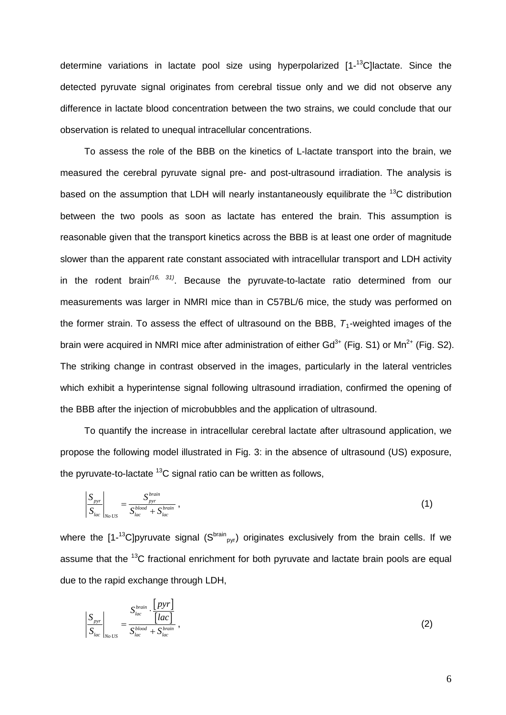determine variations in lactate pool size using hyperpolarized [1-<sup>13</sup>C]lactate. Since the detected pyruvate signal originates from cerebral tissue only and we did not observe any difference in lactate blood concentration between the two strains, we could conclude that our observation is related to unequal intracellular concentrations.

To assess the role of the BBB on the kinetics of L-lactate transport into the brain, we measured the cerebral pyruvate signal pre- and post-ultrasound irradiation. The analysis is based on the assumption that LDH will nearly instantaneously equilibrate the <sup>13</sup>C distribution between the two pools as soon as lactate has entered the brain. This assumption is reasonable given that the transport kinetics across the BBB is at least one order of magnitude slower than the apparent rate constant associated with intracellular transport and LDH activity in the rodent brain*[\(16,](#page-16-4) [31\)](#page-17-5)* . Because the pyruvate-to-lactate ratio determined from our measurements was larger in NMRI mice than in C57BL/6 mice, the study was performed on the former strain. To assess the effect of ultrasound on the BBB,  $T_1$ -weighted images of the brain were acquired in NMRI mice after administration of either  $Gd^{3+}$  (Fig. S1) or Mn<sup>2+</sup> (Fig. S2). The striking change in contrast observed in the images, particularly in the lateral ventricles which exhibit a hyperintense signal following ultrasound irradiation, confirmed the opening of the BBB after the injection of microbubbles and the application of ultrasound.

To quantify the increase in intracellular cerebral lactate after ultrasound application, we propose the following model illustrated in Fig. 3: in the absence of ultrasound (US) exposure, the pyruvate-to-lactate  $^{13}$ C signal ratio can be written as follows.

$$
\left|\frac{S_{pyr}}{S_{lac}}\right|_{No\text{ US}} = \frac{S_{pyr}^{brain}}{S_{lac}^{blood} + S_{lac}^{brain}}\,,\tag{1}
$$

where the [1-<sup>13</sup>C]pyruvate signal (S<sup>brain</sup><sub>pyr</sub>) originates exclusively from the brain cells. If we assume that the <sup>13</sup>C fractional enrichment for both pyruvate and lactate brain pools are equal due to the rapid exchange through LDH,

$$
\left|\frac{S_{pyr}}{S_{lac}}\right|_{No\;US} = \frac{S_{lac}^{brain} \cdot \frac{[pyr]}{[lac]}}{S_{lac}^{blood} + S_{lac}^{brain}},\tag{2}
$$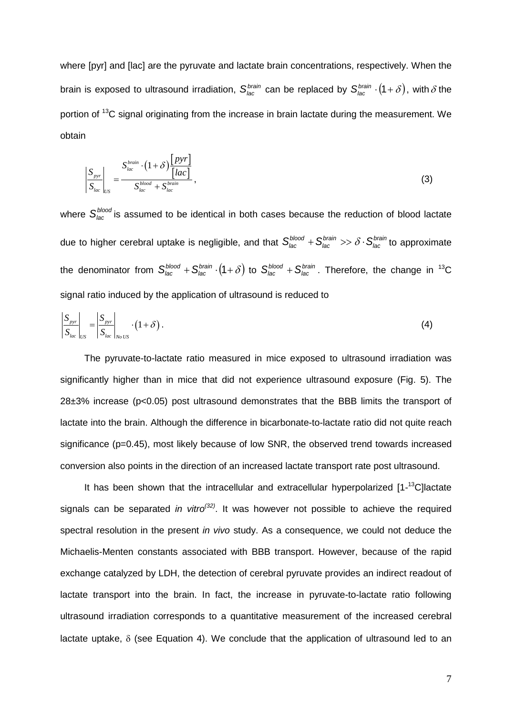where [pyr] and [lac] are the pyruvate and lactate brain concentrations, respectively. When the brain is exposed to ultrasound irradiation,  $S_{lac}^{brain}$  can be replaced by  $S_{lac}^{brain} \cdot (1+\delta)$ , with  $\delta$  the portion of <sup>13</sup>C signal originating from the increase in brain lactate during the measurement. We obtain

$$
\left|\frac{S_{pyr}}{S_{lac}}\right|_{US} = \frac{S_{lac}^{brain} \cdot (1+\delta) \frac{[pyr]}{[lac]}}{S_{lac}^{block} + S_{lac}^{brain}},
$$
\n(3)

where  $S_{\text{lac}}^{\text{blood}}$  is assumed to be identical in both cases because the reduction of blood lactate due to higher cerebral uptake is negligible, and that  $S_{lac}^{blood} + S_{lac}^{brain} >> \delta \cdot S_{lac}^{brain}$ *brain*  $S_{\text{lac}}^{\text{blood}} + S_{\text{lac}}^{\text{brain}} >> \delta \cdot S_{\text{lac}}^{\text{brain}}$  to approximate the denominator from  $S_{lac}^{blood} + S_{lac}^{brain} \cdot (1+\delta)$  to  $S_{lac}^{blood} + S_{lac}^{brain}$ . Therefore, the change in <sup>13</sup>C signal ratio induced by the application of ultrasound is reduced to

$$
\left|\frac{S_{pyr}}{S_{lac}}\right|_{US} = \left|\frac{S_{pyr}}{S_{lac}}\right|_{No\text{ }US} \cdot \left(1+\delta\right). \tag{4}
$$

The pyruvate-to-lactate ratio measured in mice exposed to ultrasound irradiation was significantly higher than in mice that did not experience ultrasound exposure (Fig. 5). The 28±3% increase (p<0.05) post ultrasound demonstrates that the BBB limits the transport of lactate into the brain. Although the difference in bicarbonate-to-lactate ratio did not quite reach significance (p=0.45), most likely because of low SNR, the observed trend towards increased conversion also points in the direction of an increased lactate transport rate post ultrasound.

It has been shown that the intracellular and extracellular hyperpolarized [1-<sup>13</sup>C]lactate signals can be separated *in vitro[\(32\)](#page-17-6)* . It was however not possible to achieve the required spectral resolution in the present *in vivo* study. As a consequence, we could not deduce the Michaelis-Menten constants associated with BBB transport. However, because of the rapid exchange catalyzed by LDH, the detection of cerebral pyruvate provides an indirect readout of lactate transport into the brain. In fact, the increase in pyruvate-to-lactate ratio following ultrasound irradiation corresponds to a quantitative measurement of the increased cerebral lactate uptake,  $\delta$  (see Equation 4). We conclude that the application of ultrasound led to an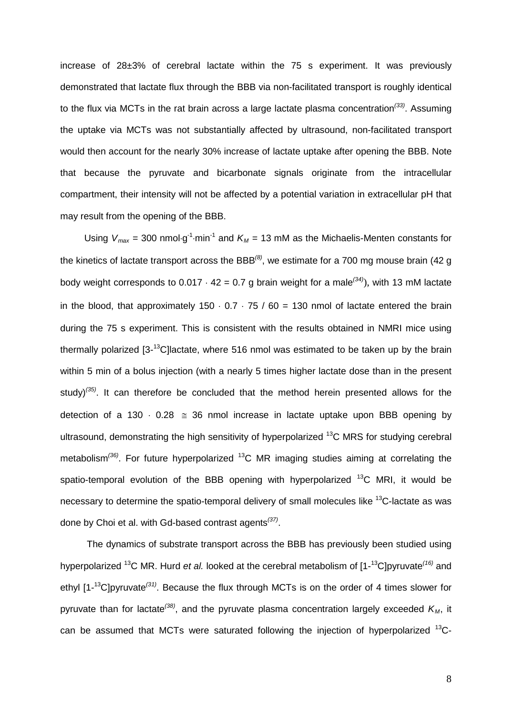increase of 28±3% of cerebral lactate within the 75 s experiment. It was previously demonstrated that lactate flux through the BBB via non-facilitated transport is roughly identical to the flux via MCTs in the rat brain across a large lactate plasma concentration*[\(33\)](#page-17-7)* . Assuming the uptake via MCTs was not substantially affected by ultrasound, non-facilitated transport would then account for the nearly 30% increase of lactate uptake after opening the BBB. Note that because the pyruvate and bicarbonate signals originate from the intracellular compartment, their intensity will not be affected by a potential variation in extracellular pH that may result from the opening of the BBB.

Using  $V_{max}$  = 300 nmol⋅g<sup>-1</sup>⋅min<sup>-1</sup> and  $K_M$  = 13 mM as the Michaelis-Menten constants for the kinetics of lactate transport across the BBB*[\(8\)](#page-15-6)* , we estimate for a 700 mg mouse brain (42 g body weight corresponds to 0.017 ⋅ 42 = 0.7 g brain weight for a male*[\(34\)](#page-17-8)* ), with 13 mM lactate in the blood, that approximately  $150 \cdot 0.7 \cdot 75 / 60 = 130$  nmol of lactate entered the brain during the 75 s experiment. This is consistent with the results obtained in NMRI mice using thermally polarized  $[3-13]$ C]lactate, where 516 nmol was estimated to be taken up by the brain within 5 min of a bolus injection (with a nearly 5 times higher lactate dose than in the present study)*[\(35\)](#page-17-9)* . It can therefore be concluded that the method herein presented allows for the detection of a 130  $\cdot$  0.28  $\approx$  36 nmol increase in lactate uptake upon BBB opening by ultrasound, demonstrating the high sensitivity of hyperpolarized  $^{13}$ C MRS for studying cerebral metabolism<sup>[\(36\)](#page-17-10)</sup>. For future hyperpolarized <sup>13</sup>C MR imaging studies aiming at correlating the spatio-temporal evolution of the BBB opening with hyperpolarized  $^{13}$ C MRI, it would be necessary to determine the spatio-temporal delivery of small molecules like  $^{13}$ C-lactate as was done by Choi et al. with Gd-based contrast agents*[\(37\)](#page-17-11)* .

The dynamics of substrate transport across the BBB has previously been studied using hyperpolarized <sup>13</sup>C MR. Hurd *et al.* looked at the cerebral metabolism of [1-<sup>13</sup>C]pyruvate<sup>[\(16\)](#page-16-4)</sup> and ethyl [1- 13C]pyruvate*[\(31\)](#page-17-5)* . Because the flux through MCTs is on the order of 4 times slower for pyruvate than for lactate<sup>[\(38\)](#page-17-12)</sup>, and the pyruvate plasma concentration largely exceeded  $K_M$ , it can be assumed that MCTs were saturated following the injection of hyperpolarized  $^{13}$ C-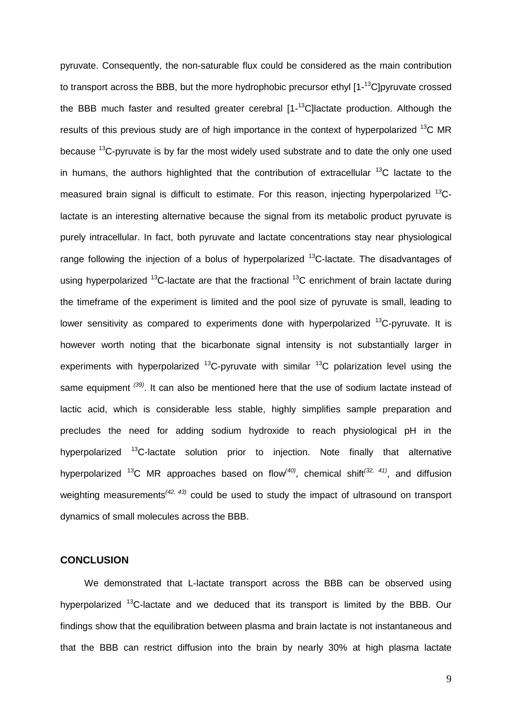pyruvate. Consequently, the non-saturable flux could be considered as the main contribution to transport across the BBB, but the more hydrophobic precursor ethyl [1-<sup>13</sup>C]pyruvate crossed the BBB much faster and resulted greater cerebral [1-<sup>13</sup>C]lactate production. Although the results of this previous study are of high importance in the context of hyperpolarized  $^{13}$ C MR because  $13C$ -pyruvate is by far the most widely used substrate and to date the only one used in humans, the authors highlighted that the contribution of extracellular  $^{13}$ C lactate to the measured brain signal is difficult to estimate. For this reason, injecting hyperpolarized <sup>13</sup>Clactate is an interesting alternative because the signal from its metabolic product pyruvate is purely intracellular. In fact, both pyruvate and lactate concentrations stay near physiological range following the injection of a bolus of hyperpolarized  $^{13}$ C-lactate. The disadvantages of using hyperpolarized  $^{13}$ C-lactate are that the fractional  $^{13}$ C enrichment of brain lactate during the timeframe of the experiment is limited and the pool size of pyruvate is small, leading to lower sensitivity as compared to experiments done with hyperpolarized  $^{13}$ C-pyruvate. It is however worth noting that the bicarbonate signal intensity is not substantially larger in experiments with hyperpolarized  $^{13}$ C-pyruvate with similar  $^{13}$ C polarization level using the same equipment <sup>[\(39\)](#page-17-13)</sup>. It can also be mentioned here that the use of sodium lactate instead of lactic acid, which is considerable less stable, highly simplifies sample preparation and precludes the need for adding sodium hydroxide to reach physiological pH in the hyperpolarized <sup>13</sup>C-lactate solution prior to injection. Note finally that alternative hyperpolarized 13C MR approaches based on flow*[\(40\)](#page-17-14)* , chemical shift*[\(32,](#page-17-6) [41\)](#page-18-0)* , and diffusion weighting measurements*[\(42,](#page-18-1) [43\)](#page-18-2)* could be used to study the impact of ultrasound on transport dynamics of small molecules across the BBB.

# **CONCLUSION**

We demonstrated that L-lactate transport across the BBB can be observed using hyperpolarized <sup>13</sup>C-lactate and we deduced that its transport is limited by the BBB. Our findings show that the equilibration between plasma and brain lactate is not instantaneous and that the BBB can restrict diffusion into the brain by nearly 30% at high plasma lactate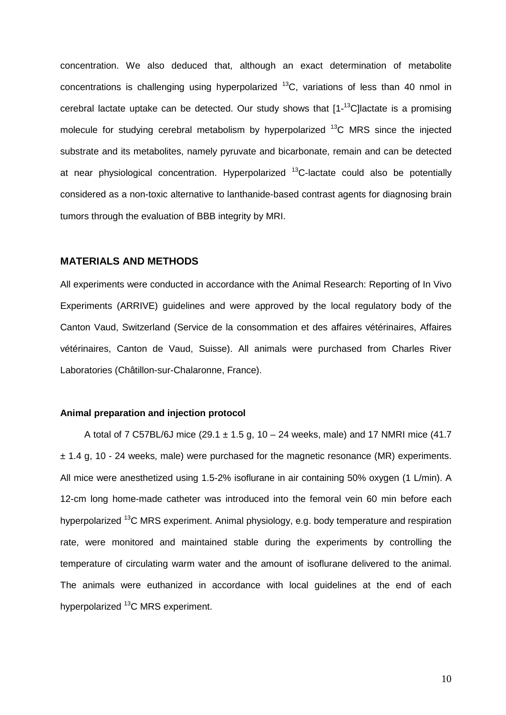concentration. We also deduced that, although an exact determination of metabolite concentrations is challenging using hyperpolarized  $^{13}$ C, variations of less than 40 nmol in cerebral lactate uptake can be detected. Our study shows that  $[1 - 13C]$ lactate is a promising molecule for studying cerebral metabolism by hyperpolarized  $^{13}$ C MRS since the injected substrate and its metabolites, namely pyruvate and bicarbonate, remain and can be detected at near physiological concentration. Hyperpolarized  $^{13}$ C-lactate could also be potentially considered as a non-toxic alternative to lanthanide-based contrast agents for diagnosing brain tumors through the evaluation of BBB integrity by MRI.

#### **MATERIALS AND METHODS**

All experiments were conducted in accordance with the Animal Research: Reporting of In Vivo Experiments (ARRIVE) guidelines and were approved by the local regulatory body of the Canton Vaud, Switzerland (Service de la consommation et des affaires vétérinaires, Affaires vétérinaires, Canton de Vaud, Suisse). All animals were purchased from Charles River Laboratories (Châtillon-sur-Chalaronne, France).

#### **Animal preparation and injection protocol**

A total of 7 C57BL/6J mice (29.1  $\pm$  1.5 g, 10 – 24 weeks, male) and 17 NMRI mice (41.7 ± 1.4 g, 10 - 24 weeks, male) were purchased for the magnetic resonance (MR) experiments. All mice were anesthetized using 1.5-2% isoflurane in air containing 50% oxygen (1 L/min). A 12-cm long home-made catheter was introduced into the femoral vein 60 min before each hyperpolarized <sup>13</sup>C MRS experiment. Animal physiology, e.g. body temperature and respiration rate, were monitored and maintained stable during the experiments by controlling the temperature of circulating warm water and the amount of isoflurane delivered to the animal. The animals were euthanized in accordance with local guidelines at the end of each hyperpolarized <sup>13</sup>C MRS experiment.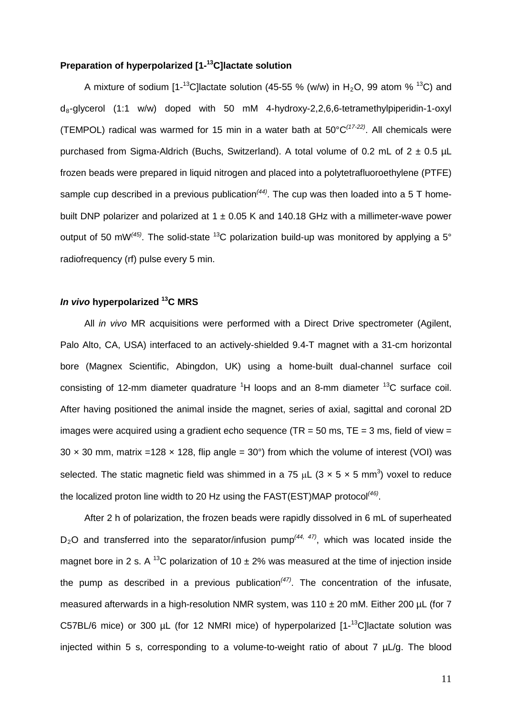## **Preparation of hyperpolarized [1- 13C]lactate solution**

A mixture of sodium [1-<sup>13</sup>C]lactate solution (45-55 % (w/w) in H<sub>2</sub>O, 99 atom % <sup>13</sup>C) and  $d_8$ -glycerol (1:1 w/w) doped with 50 mM 4-hydroxy-2,2,6,6-tetramethylpiperidin-1-oxyl (TEMPOL) radical was warmed for 15 min in a water bath at 50°C*[\(17-22\)](#page-16-5)* . All chemicals were purchased from Sigma-Aldrich (Buchs, Switzerland). A total volume of 0.2 mL of  $2 \pm 0.5$  µL frozen beads were prepared in liquid nitrogen and placed into a polytetrafluoroethylene (PTFE) sample cup described in a previous publication<sup>[\(44\)](#page-18-3)</sup>. The cup was then loaded into a 5 T homebuilt DNP polarizer and polarized at 1  $\pm$  0.05 K and 140.18 GHz with a millimeter-wave power output of 50 mW<sup>[\(45\)](#page-18-4)</sup>. The solid-state <sup>13</sup>C polarization build-up was monitored by applying a 5° radiofrequency (rf) pulse every 5 min.

#### *In vivo* **hyperpolarized 13C MRS**

All *in vivo* MR acquisitions were performed with a Direct Drive spectrometer (Agilent, Palo Alto, CA, USA) interfaced to an actively-shielded 9.4-T magnet with a 31-cm horizontal bore (Magnex Scientific, Abingdon, UK) using a home-built dual-channel surface coil consisting of 12-mm diameter quadrature  ${}^{1}H$  loops and an 8-mm diameter  ${}^{13}C$  surface coil. After having positioned the animal inside the magnet, series of axial, sagittal and coronal 2D images were acquired using a gradient echo sequence (TR = 50 ms, TE = 3 ms, field of view =  $30 \times 30$  mm, matrix =128  $\times$  128, flip angle = 30°) from which the volume of interest (VOI) was selected. The static magnetic field was shimmed in a 75  $\mu$ L (3 x 5 x 5 mm<sup>3</sup>) voxel to reduce the localized proton line width to 20 Hz using the FAST(EST)MAP protocol*[\(46\)](#page-18-5)* .

After 2 h of polarization, the frozen beads were rapidly dissolved in 6 mL of superheated  $D_2$ O and transferred into the separator/infusion pump<sup>[\(44,](#page-18-3) [47\)](#page-18-6)</sup>, which was located inside the magnet bore in 2 s. A <sup>13</sup>C polarization of 10  $\pm$  2% was measured at the time of injection inside the pump as described in a previous publication*[\(47\)](#page-18-6)* . The concentration of the infusate, measured afterwards in a high-resolution NMR system, was 110  $\pm$  20 mM. Either 200 µL (for 7 C57BL/6 mice) or 300  $\mu$ L (for 12 NMRI mice) of hyperpolarized  $[1 - 13]$ C]lactate solution was injected within 5 s, corresponding to a volume-to-weight ratio of about 7 µL/g. The blood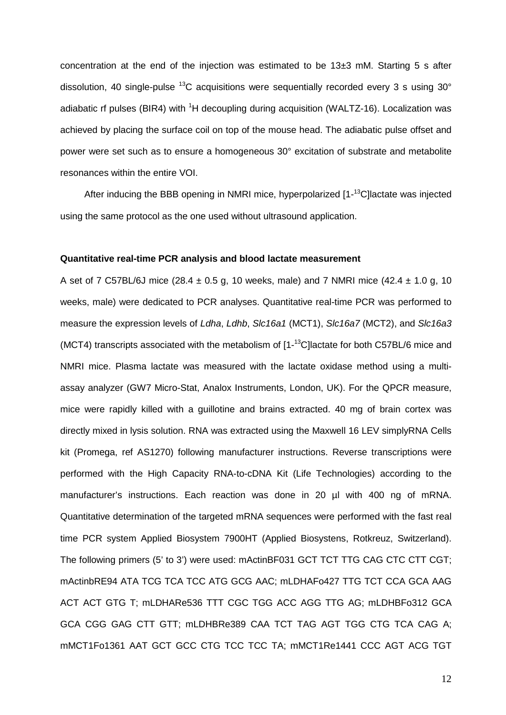concentration at the end of the injection was estimated to be 13±3 mM. Starting 5 s after dissolution, 40 single-pulse  $^{13}$ C acquisitions were sequentially recorded every 3 s using 30 $^{\circ}$ adiabatic rf pulses (BIR4) with <sup>1</sup>H decoupling during acquisition (WALTZ-16). Localization was achieved by placing the surface coil on top of the mouse head. The adiabatic pulse offset and power were set such as to ensure a homogeneous 30° excitation of substrate and metabolite resonances within the entire VOI.

After inducing the BBB opening in NMRI mice, hyperpolarized [1-<sup>13</sup>C]lactate was injected using the same protocol as the one used without ultrasound application.

#### **Quantitative real-time PCR analysis and blood lactate measurement**

A set of 7 C57BL/6J mice  $(28.4 \pm 0.5 \text{ q}, 10 \text{ weeks}, \text{male})$  and 7 NMRI mice  $(42.4 \pm 1.0 \text{ q}, 10 \text{ miles})$ weeks, male) were dedicated to PCR analyses. Quantitative real-time PCR was performed to measure the expression levels of *Ldha*, *Ldhb*, *Slc16a1* (MCT1), *Slc16a7* (MCT2), and *Slc16a3* (MCT4) transcripts associated with the metabolism of  $[1 - <sup>13</sup>C]$ lactate for both C57BL/6 mice and NMRI mice. Plasma lactate was measured with the lactate oxidase method using a multiassay analyzer (GW7 Micro-Stat, Analox Instruments, London, UK). For the QPCR measure, mice were rapidly killed with a guillotine and brains extracted. 40 mg of brain cortex was directly mixed in lysis solution. RNA was extracted using the Maxwell 16 LEV simplyRNA Cells kit (Promega, ref AS1270) following manufacturer instructions. Reverse transcriptions were performed with the High Capacity RNA-to-cDNA Kit (Life Technologies) according to the manufacturer's instructions. Each reaction was done in 20 µl with 400 ng of mRNA. Quantitative determination of the targeted mRNA sequences were performed with the fast real time PCR system Applied Biosystem 7900HT (Applied Biosystens, Rotkreuz, Switzerland). The following primers (5' to 3') were used: mActinBF031 GCT TCT TTG CAG CTC CTT CGT; mActinbRE94 ATA TCG TCA TCC ATG GCG AAC; mLDHAFo427 TTG TCT CCA GCA AAG ACT ACT GTG T; mLDHARe536 TTT CGC TGG ACC AGG TTG AG; mLDHBFo312 GCA GCA CGG GAG CTT GTT; mLDHBRe389 CAA TCT TAG AGT TGG CTG TCA CAG A; mMCT1Fo1361 AAT GCT GCC CTG TCC TCC TA; mMCT1Re1441 CCC AGT ACG TGT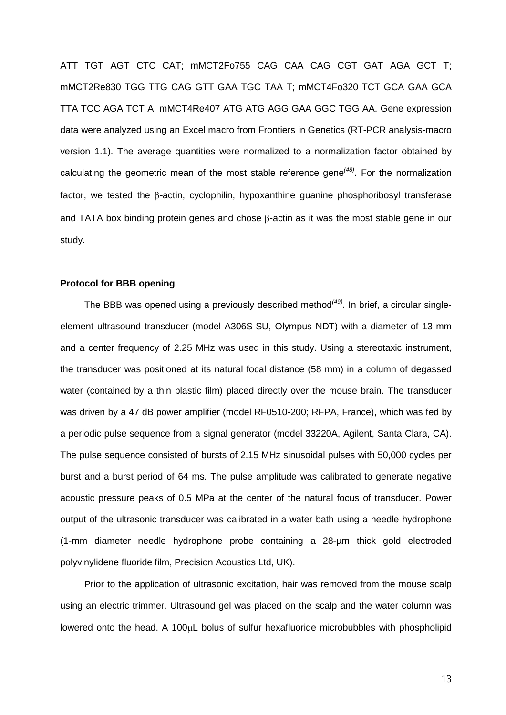ATT TGT AGT CTC CAT; mMCT2Fo755 CAG CAA CAG CGT GAT AGA GCT T; mMCT2Re830 TGG TTG CAG GTT GAA TGC TAA T; mMCT4Fo320 TCT GCA GAA GCA TTA TCC AGA TCT A; mMCT4Re407 ATG ATG AGG GAA GGC TGG AA. Gene expression data were analyzed using an Excel macro from Frontiers in Genetics (RT-PCR analysis-macro version 1.1). The average quantities were normalized to a normalization factor obtained by calculating the geometric mean of the most stable reference gene*[\(48\)](#page-18-7)* . For the normalization factor, we tested the β-actin, cyclophilin, hypoxanthine guanine phosphoribosyl transferase and TATA box binding protein genes and chose β-actin as it was the most stable gene in our study.

#### **Protocol for BBB opening**

The BBB was opened using a previously described method*[\(49\)](#page-18-8)* . In brief, a circular singleelement ultrasound transducer (model A306S-SU, Olympus NDT) with a diameter of 13 mm and a center frequency of 2.25 MHz was used in this study. Using a stereotaxic instrument, the transducer was positioned at its natural focal distance (58 mm) in a column of degassed water (contained by a thin plastic film) placed directly over the mouse brain. The transducer was driven by a 47 dB power amplifier (model RF0510-200; RFPA, France), which was fed by a periodic pulse sequence from a signal generator (model 33220A, Agilent, Santa Clara, CA). The pulse sequence consisted of bursts of 2.15 MHz sinusoidal pulses with 50,000 cycles per burst and a burst period of 64 ms. The pulse amplitude was calibrated to generate negative acoustic pressure peaks of 0.5 MPa at the center of the natural focus of transducer. Power output of the ultrasonic transducer was calibrated in a water bath using a needle hydrophone (1-mm diameter needle hydrophone probe containing a 28-µm thick gold electroded polyvinylidene fluoride film, Precision Acoustics Ltd, UK).

Prior to the application of ultrasonic excitation, hair was removed from the mouse scalp using an electric trimmer. Ultrasound gel was placed on the scalp and the water column was lowered onto the head. A 100µL bolus of sulfur hexafluoride microbubbles with phospholipid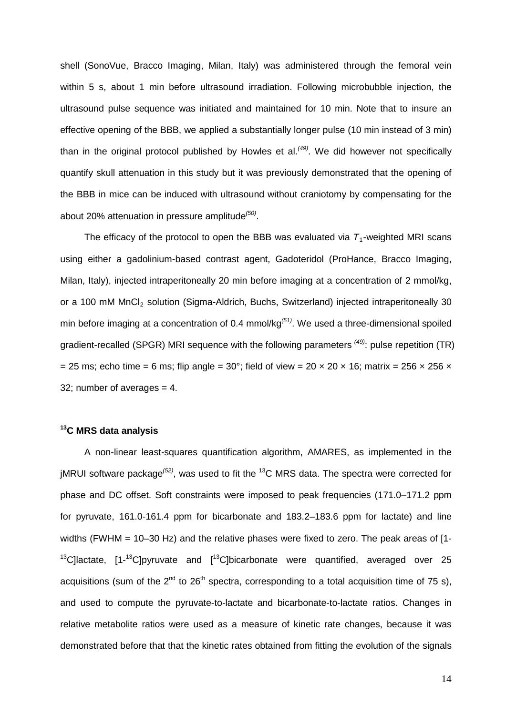shell (SonoVue, Bracco Imaging, Milan, Italy) was administered through the femoral vein within 5 s, about 1 min before ultrasound irradiation. Following microbubble injection, the ultrasound pulse sequence was initiated and maintained for 10 min. Note that to insure an effective opening of the BBB, we applied a substantially longer pulse (10 min instead of 3 min) than in the original protocol published by Howles et al.*[\(49\)](#page-18-8)* . We did however not specifically quantify skull attenuation in this study but it was previously demonstrated that the opening of the BBB in mice can be induced with ultrasound without craniotomy by compensating for the about 20% attenuation in pressure amplitude*[\(50\)](#page-18-9)* .

The efficacy of the protocol to open the BBB was evaluated via  $T_1$ -weighted MRI scans using either a gadolinium-based contrast agent, Gadoteridol (ProHance, Bracco Imaging, Milan, Italy), injected intraperitoneally 20 min before imaging at a concentration of 2 mmol/kg, or a 100 mM MnCl<sub>2</sub> solution (Sigma-Aldrich, Buchs, Switzerland) injected intraperitoneally 30 min before imaging at a concentration of 0.4 mmol/kg*[\(51\)](#page-18-10)* . We used a three-dimensional spoiled gradient-recalled (SPGR) MRI sequence with the following parameters <sup>[\(49\)](#page-18-8)</sup>: pulse repetition (TR) = 25 ms; echo time = 6 ms; flip angle =  $30^{\circ}$ ; field of view =  $20 \times 20 \times 16$ ; matrix =  $256 \times 256 \times$ 32; number of averages = 4.

## **13C MRS data analysis**

A non-linear least-squares quantification algorithm, AMARES, as implemented in the jMRUI software package*[\(52\)](#page-18-11)* , was used to fit the 13C MRS data. The spectra were corrected for phase and DC offset. Soft constraints were imposed to peak frequencies (171.0–171.2 ppm for pyruvate, 161.0-161.4 ppm for bicarbonate and 183.2–183.6 ppm for lactate) and line widths (FWHM = 10–30 Hz) and the relative phases were fixed to zero. The peak areas of [1-  $13$ C]lactate, [1- $13$ C]pyruvate and [ $13$ C]bicarbonate were quantified, averaged over 25 acquisitions (sum of the  $2^{nd}$  to  $26^{th}$  spectra, corresponding to a total acquisition time of 75 s). and used to compute the pyruvate-to-lactate and bicarbonate-to-lactate ratios. Changes in relative metabolite ratios were used as a measure of kinetic rate changes, because it was demonstrated before that that the kinetic rates obtained from fitting the evolution of the signals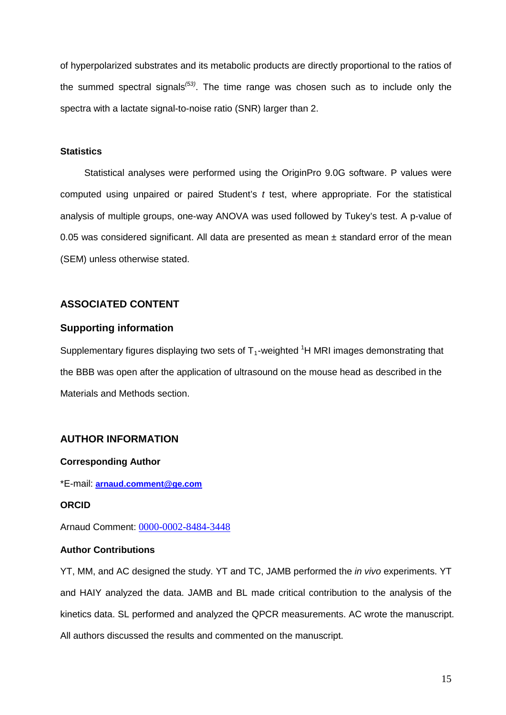of hyperpolarized substrates and its metabolic products are directly proportional to the ratios of the summed spectral signals*[\(53\)](#page-18-12)* . The time range was chosen such as to include only the spectra with a lactate signal-to-noise ratio (SNR) larger than 2.

#### **Statistics**

Statistical analyses were performed using the OriginPro 9.0G software. P values were computed using unpaired or paired Student's *t* test, where appropriate. For the statistical analysis of multiple groups, one-way ANOVA was used followed by Tukey's test. A p-value of 0.05 was considered significant. All data are presented as mean  $\pm$  standard error of the mean (SEM) unless otherwise stated.

# **ASSOCIATED CONTENT**

## **Supporting information**

Supplementary figures displaying two sets of  $T_1$ -weighted  ${}^{1}$ H MRI images demonstrating that the BBB was open after the application of ultrasound on the mouse head as described in the Materials and Methods section.

# **AUTHOR INFORMATION**

## **Corresponding Author**

\*E-mail: **[arnaud.comment@ge.com](mailto:arnaud.comment@ge.com)**

#### **ORCID**

Arnaud Comment: [0000-0002-8484-3448](https://orcid.org/0000-0002-8484-3448)

## **Author Contributions**

YT, MM, and AC designed the study. YT and TC, JAMB performed the *in vivo* experiments. YT and HAIY analyzed the data. JAMB and BL made critical contribution to the analysis of the kinetics data. SL performed and analyzed the QPCR measurements. AC wrote the manuscript. All authors discussed the results and commented on the manuscript.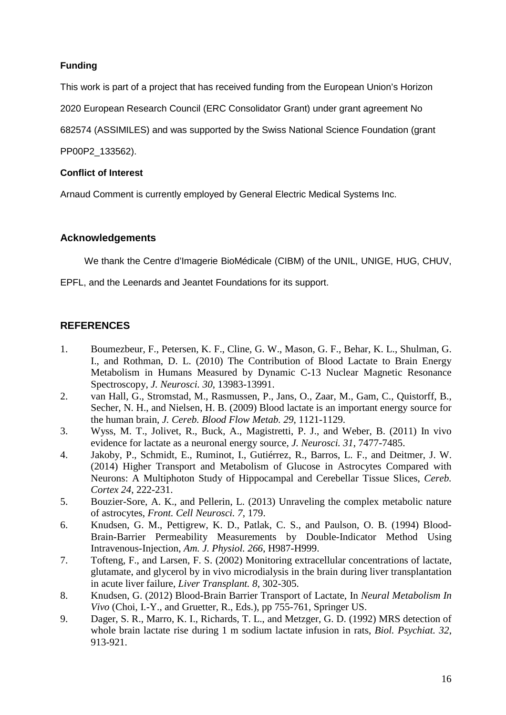# **Funding**

This work is part of a project that has received funding from the European Union's Horizon

2020 European Research Council (ERC Consolidator Grant) under grant agreement No

682574 (ASSIMILES) and was supported by the Swiss National Science Foundation (grant

PP00P2\_133562).

# **Conflict of Interest**

Arnaud Comment is currently employed by General Electric Medical Systems Inc.

# **Acknowledgements**

We thank the Centre d'Imagerie BioMédicale (CIBM) of the UNIL, UNIGE, HUG, CHUV,

EPFL, and the Leenards and Jeantet Foundations for its support.

# **REFERENCES**

- <span id="page-15-0"></span>1. Boumezbeur, F., Petersen, K. F., Cline, G. W., Mason, G. F., Behar, K. L., Shulman, G. I., and Rothman, D. L. (2010) The Contribution of Blood Lactate to Brain Energy Metabolism in Humans Measured by Dynamic C-13 Nuclear Magnetic Resonance Spectroscopy, *J. Neurosci. 30*, 13983-13991.
- 2. van Hall, G., Stromstad, M., Rasmussen, P., Jans, O., Zaar, M., Gam, C., Quistorff, B., Secher, N. H., and Nielsen, H. B. (2009) Blood lactate is an important energy source for the human brain, *J. Cereb. Blood Flow Metab. 29*, 1121-1129.
- <span id="page-15-3"></span>3. Wyss, M. T., Jolivet, R., Buck, A., Magistretti, P. J., and Weber, B. (2011) In vivo evidence for lactate as a neuronal energy source, *J. Neurosci. 31*, 7477-7485.
- <span id="page-15-1"></span>4. Jakoby, P., Schmidt, E., Ruminot, I., Gutiérrez, R., Barros, L. F., and Deitmer, J. W. (2014) Higher Transport and Metabolism of Glucose in Astrocytes Compared with Neurons: A Multiphoton Study of Hippocampal and Cerebellar Tissue Slices, *Cereb. Cortex 24*, 222-231.
- <span id="page-15-2"></span>5. Bouzier-Sore, A. K., and Pellerin, L. (2013) Unraveling the complex metabolic nature of astrocytes, *Front. Cell Neurosci. 7*, 179.
- <span id="page-15-4"></span>6. Knudsen, G. M., Pettigrew, K. D., Patlak, C. S., and Paulson, O. B. (1994) Blood-Brain-Barrier Permeability Measurements by Double-Indicator Method Using Intravenous-Injection, *Am. J. Physiol. 266*, H987-H999.
- <span id="page-15-5"></span>7. Tofteng, F., and Larsen, F. S. (2002) Monitoring extracellular concentrations of lactate, glutamate, and glycerol by in vivo microdialysis in the brain during liver transplantation in acute liver failure, *Liver Transplant. 8*, 302-305.
- <span id="page-15-6"></span>8. Knudsen, G. (2012) Blood-Brain Barrier Transport of Lactate, In *Neural Metabolism In Vivo* (Choi, I.-Y., and Gruetter, R., Eds.), pp 755-761, Springer US.
- <span id="page-15-7"></span>9. Dager, S. R., Marro, K. I., Richards, T. L., and Metzger, G. D. (1992) MRS detection of whole brain lactate rise during 1 m sodium lactate infusion in rats, *Biol. Psychiat. 32*, 913-921.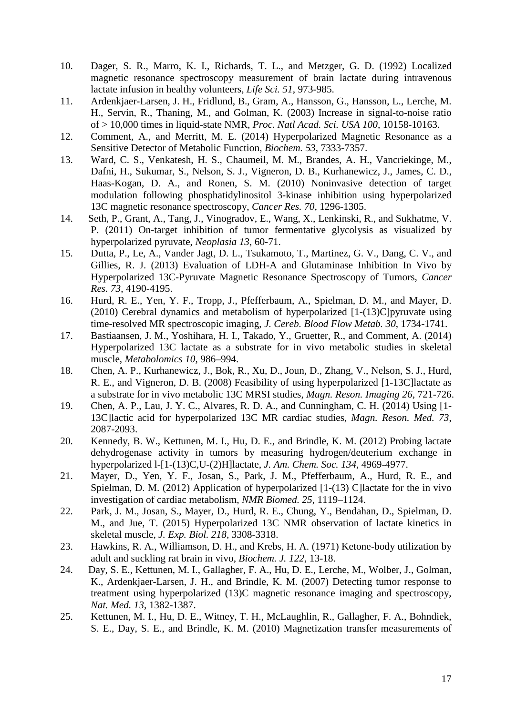- <span id="page-16-0"></span>10. Dager, S. R., Marro, K. I., Richards, T. L., and Metzger, G. D. (1992) Localized magnetic resonance spectroscopy measurement of brain lactate during intravenous lactate infusion in healthy volunteers, *Life Sci. 51*, 973-985.
- <span id="page-16-1"></span>11. Ardenkjaer-Larsen, J. H., Fridlund, B., Gram, A., Hansson, G., Hansson, L., Lerche, M. H., Servin, R., Thaning, M., and Golman, K. (2003) Increase in signal-to-noise ratio of > 10,000 times in liquid-state NMR, *Proc. Natl Acad. Sci. USA 100*, 10158-10163.
- <span id="page-16-2"></span>12. Comment, A., and Merritt, M. E. (2014) Hyperpolarized Magnetic Resonance as a Sensitive Detector of Metabolic Function, *Biochem. 53*, 7333-7357.
- <span id="page-16-3"></span>13. Ward, C. S., Venkatesh, H. S., Chaumeil, M. M., Brandes, A. H., Vancriekinge, M., Dafni, H., Sukumar, S., Nelson, S. J., Vigneron, D. B., Kurhanewicz, J., James, C. D., Haas-Kogan, D. A., and Ronen, S. M. (2010) Noninvasive detection of target modulation following phosphatidylinositol 3-kinase inhibition using hyperpolarized 13C magnetic resonance spectroscopy, *Cancer Res. 70*, 1296-1305.
- 14. Seth, P., Grant, A., Tang, J., Vinogradov, E., Wang, X., Lenkinski, R., and Sukhatme, V. P. (2011) On-target inhibition of tumor fermentative glycolysis as visualized by hyperpolarized pyruvate, *Neoplasia 13*, 60-71.
- 15. Dutta, P., Le, A., Vander Jagt, D. L., Tsukamoto, T., Martinez, G. V., Dang, C. V., and Gillies, R. J. (2013) Evaluation of LDH-A and Glutaminase Inhibition In Vivo by Hyperpolarized 13C-Pyruvate Magnetic Resonance Spectroscopy of Tumors, *Cancer Res. 73*, 4190-4195.
- <span id="page-16-4"></span>16. Hurd, R. E., Yen, Y. F., Tropp, J., Pfefferbaum, A., Spielman, D. M., and Mayer, D. (2010) Cerebral dynamics and metabolism of hyperpolarized [1-(13)C]pyruvate using time-resolved MR spectroscopic imaging, *J. Cereb. Blood Flow Metab. 30*, 1734-1741.
- <span id="page-16-5"></span>17. Bastiaansen, J. M., Yoshihara, H. I., Takado, Y., Gruetter, R., and Comment, A. (2014) Hyperpolarized 13C lactate as a substrate for in vivo metabolic studies in skeletal muscle, *Metabolomics 10*, 986–994.
- 18. Chen, A. P., Kurhanewicz, J., Bok, R., Xu, D., Joun, D., Zhang, V., Nelson, S. J., Hurd, R. E., and Vigneron, D. B. (2008) Feasibility of using hyperpolarized [1-13C]lactate as a substrate for in vivo metabolic 13C MRSI studies, *Magn. Reson. Imaging 26*, 721-726.
- 19. Chen, A. P., Lau, J. Y. C., Alvares, R. D. A., and Cunningham, C. H. (2014) Using [1- 13C]lactic acid for hyperpolarized 13C MR cardiac studies, *Magn. Reson. Med. 73*, 2087-2093.
- <span id="page-16-9"></span>20. Kennedy, B. W., Kettunen, M. I., Hu, D. E., and Brindle, K. M. (2012) Probing lactate dehydrogenase activity in tumors by measuring hydrogen/deuterium exchange in hyperpolarized l-[1-(13)C,U-(2)H]lactate, *J. Am. Chem. Soc. 134*, 4969-4977.
- 21. Mayer, D., Yen, Y. F., Josan, S., Park, J. M., Pfefferbaum, A., Hurd, R. E., and Spielman, D. M. (2012) Application of hyperpolarized [1-(13) C]lactate for the in vivo investigation of cardiac metabolism, *NMR Biomed. 25*, 1119–1124.
- 22. Park, J. M., Josan, S., Mayer, D., Hurd, R. E., Chung, Y., Bendahan, D., Spielman, D. M., and Jue, T. (2015) Hyperpolarized 13C NMR observation of lactate kinetics in skeletal muscle, *J. Exp. Biol. 218*, 3308-3318.
- <span id="page-16-6"></span>23. Hawkins, R. A., Williamson, D. H., and Krebs, H. A. (1971) Ketone-body utilization by adult and suckling rat brain in vivo, *Biochem. J. 122*, 13-18.
- <span id="page-16-7"></span>24. Day, S. E., Kettunen, M. I., Gallagher, F. A., Hu, D. E., Lerche, M., Wolber, J., Golman, K., Ardenkjaer-Larsen, J. H., and Brindle, K. M. (2007) Detecting tumor response to treatment using hyperpolarized (13)C magnetic resonance imaging and spectroscopy, *Nat. Med. 13*, 1382-1387.
- <span id="page-16-8"></span>25. Kettunen, M. I., Hu, D. E., Witney, T. H., McLaughlin, R., Gallagher, F. A., Bohndiek, S. E., Day, S. E., and Brindle, K. M. (2010) Magnetization transfer measurements of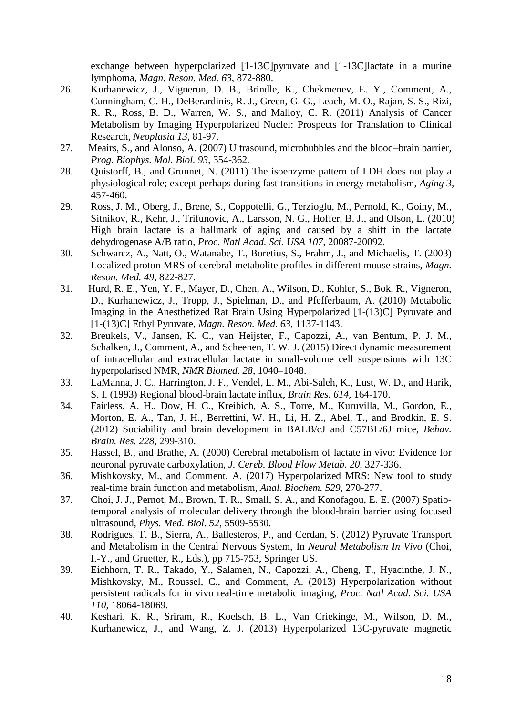exchange between hyperpolarized [1-13C]pyruvate and [1-13C]lactate in a murine lymphoma, *Magn. Reson. Med. 63*, 872-880.

- <span id="page-17-0"></span>26. Kurhanewicz, J., Vigneron, D. B., Brindle, K., Chekmenev, E. Y., Comment, A., Cunningham, C. H., DeBerardinis, R. J., Green, G. G., Leach, M. O., Rajan, S. S., Rizi, R. R., Ross, B. D., Warren, W. S., and Malloy, C. R. (2011) Analysis of Cancer Metabolism by Imaging Hyperpolarized Nuclei: Prospects for Translation to Clinical Research, *Neoplasia 13*, 81-97.
- <span id="page-17-1"></span>27. Meairs, S., and Alonso, A. (2007) Ultrasound, microbubbles and the blood–brain barrier, *Prog. Biophys. Mol. Biol. 93*, 354-362.
- <span id="page-17-2"></span>28. Quistorff, B., and Grunnet, N. (2011) The isoenzyme pattern of LDH does not play a physiological role; except perhaps during fast transitions in energy metabolism, *Aging 3*, 457-460.
- <span id="page-17-3"></span>29. Ross, J. M., Oberg, J., Brene, S., Coppotelli, G., Terzioglu, M., Pernold, K., Goiny, M., Sitnikov, R., Kehr, J., Trifunovic, A., Larsson, N. G., Hoffer, B. J., and Olson, L. (2010) High brain lactate is a hallmark of aging and caused by a shift in the lactate dehydrogenase A/B ratio, *Proc. Natl Acad. Sci. USA 107*, 20087-20092.
- <span id="page-17-4"></span>30. Schwarcz, A., Natt, O., Watanabe, T., Boretius, S., Frahm, J., and Michaelis, T. (2003) Localized proton MRS of cerebral metabolite profiles in different mouse strains, *Magn. Reson. Med. 49*, 822-827.
- <span id="page-17-5"></span>31. Hurd, R. E., Yen, Y. F., Mayer, D., Chen, A., Wilson, D., Kohler, S., Bok, R., Vigneron, D., Kurhanewicz, J., Tropp, J., Spielman, D., and Pfefferbaum, A. (2010) Metabolic Imaging in the Anesthetized Rat Brain Using Hyperpolarized [1-(13)C] Pyruvate and [1-(13)C] Ethyl Pyruvate, *Magn. Reson. Med. 63*, 1137-1143.
- <span id="page-17-6"></span>32. Breukels, V., Jansen, K. C., van Heijster, F., Capozzi, A., van Bentum, P. J. M., Schalken, J., Comment, A., and Scheenen, T. W. J. (2015) Direct dynamic measurement of intracellular and extracellular lactate in small-volume cell suspensions with 13C hyperpolarised NMR, *NMR Biomed. 28*, 1040–1048.
- <span id="page-17-7"></span>33. LaManna, J. C., Harrington, J. F., Vendel, L. M., Abi-Saleh, K., Lust, W. D., and Harik, S. I. (1993) Regional blood-brain lactate influx, *Brain Res. 614*, 164-170.
- <span id="page-17-8"></span>34. Fairless, A. H., Dow, H. C., Kreibich, A. S., Torre, M., Kuruvilla, M., Gordon, E., Morton, E. A., Tan, J. H., Berrettini, W. H., Li, H. Z., Abel, T., and Brodkin, E. S. (2012) Sociability and brain development in BALB/cJ and C57BL/6J mice, *Behav. Brain. Res. 228*, 299-310.
- <span id="page-17-9"></span>35. Hassel, B., and Brathe, A. (2000) Cerebral metabolism of lactate in vivo: Evidence for neuronal pyruvate carboxylation, *J. Cereb. Blood Flow Metab. 20*, 327-336.
- <span id="page-17-10"></span>36. Mishkovsky, M., and Comment, A. (2017) Hyperpolarized MRS: New tool to study real-time brain function and metabolism, *Anal. Biochem. 529*, 270-277.
- <span id="page-17-11"></span>37. Choi, J. J., Pernot, M., Brown, T. R., Small, S. A., and Konofagou, E. E. (2007) Spatiotemporal analysis of molecular delivery through the blood-brain barrier using focused ultrasound, *Phys. Med. Biol. 52*, 5509-5530.
- <span id="page-17-12"></span>38. Rodrigues, T. B., Sierra, A., Ballesteros, P., and Cerdan, S. (2012) Pyruvate Transport and Metabolism in the Central Nervous System, In *Neural Metabolism In Vivo* (Choi, I.-Y., and Gruetter, R., Eds.), pp 715-753, Springer US.
- <span id="page-17-13"></span>39. Eichhorn, T. R., Takado, Y., Salameh, N., Capozzi, A., Cheng, T., Hyacinthe, J. N., Mishkovsky, M., Roussel, C., and Comment, A. (2013) Hyperpolarization without persistent radicals for in vivo real-time metabolic imaging, *Proc. Natl Acad. Sci. USA 110*, 18064-18069.
- <span id="page-17-14"></span>40. Keshari, K. R., Sriram, R., Koelsch, B. L., Van Criekinge, M., Wilson, D. M., Kurhanewicz, J., and Wang, Z. J. (2013) Hyperpolarized 13C-pyruvate magnetic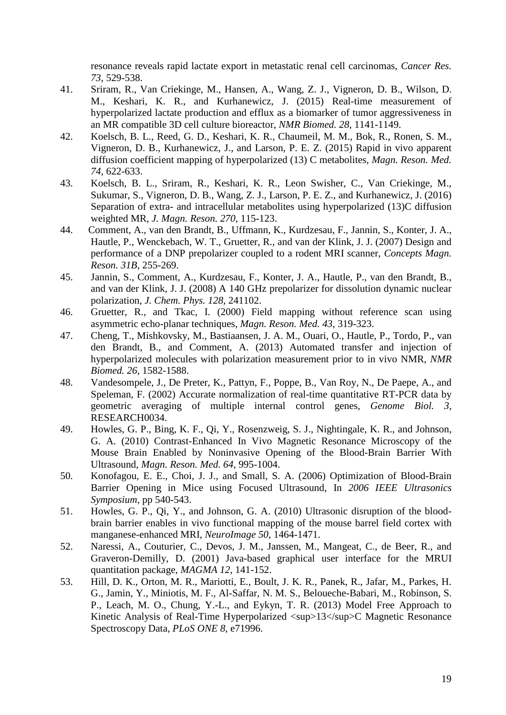resonance reveals rapid lactate export in metastatic renal cell carcinomas, *Cancer Res. 73*, 529-538.

- <span id="page-18-0"></span>41. Sriram, R., Van Criekinge, M., Hansen, A., Wang, Z. J., Vigneron, D. B., Wilson, D. M., Keshari, K. R., and Kurhanewicz, J. (2015) Real-time measurement of hyperpolarized lactate production and efflux as a biomarker of tumor aggressiveness in an MR compatible 3D cell culture bioreactor, *NMR Biomed. 28*, 1141-1149.
- <span id="page-18-1"></span>42. Koelsch, B. L., Reed, G. D., Keshari, K. R., Chaumeil, M. M., Bok, R., Ronen, S. M., Vigneron, D. B., Kurhanewicz, J., and Larson, P. E. Z. (2015) Rapid in vivo apparent diffusion coefficient mapping of hyperpolarized (13) C metabolites, *Magn. Reson. Med. 74*, 622-633.
- <span id="page-18-2"></span>43. Koelsch, B. L., Sriram, R., Keshari, K. R., Leon Swisher, C., Van Criekinge, M., Sukumar, S., Vigneron, D. B., Wang, Z. J., Larson, P. E. Z., and Kurhanewicz, J. (2016) Separation of extra- and intracellular metabolites using hyperpolarized (13)C diffusion weighted MR, *J. Magn. Reson. 270*, 115-123.
- <span id="page-18-3"></span>44. Comment, A., van den Brandt, B., Uffmann, K., Kurdzesau, F., Jannin, S., Konter, J. A., Hautle, P., Wenckebach, W. T., Gruetter, R., and van der Klink, J. J. (2007) Design and performance of a DNP prepolarizer coupled to a rodent MRI scanner, *Concepts Magn. Reson. 31B*, 255-269.
- <span id="page-18-4"></span>45. Jannin, S., Comment, A., Kurdzesau, F., Konter, J. A., Hautle, P., van den Brandt, B., and van der Klink, J. J. (2008) A 140 GHz prepolarizer for dissolution dynamic nuclear polarization, *J. Chem. Phys. 128*, 241102.
- <span id="page-18-5"></span>46. Gruetter, R., and Tkac, I. (2000) Field mapping without reference scan using asymmetric echo-planar techniques, *Magn. Reson. Med. 43*, 319-323.
- <span id="page-18-6"></span>47. Cheng, T., Mishkovsky, M., Bastiaansen, J. A. M., Ouari, O., Hautle, P., Tordo, P., van den Brandt, B., and Comment, A. (2013) Automated transfer and injection of hyperpolarized molecules with polarization measurement prior to in vivo NMR, *NMR Biomed. 26*, 1582-1588.
- <span id="page-18-7"></span>48. Vandesompele, J., De Preter, K., Pattyn, F., Poppe, B., Van Roy, N., De Paepe, A., and Speleman, F. (2002) Accurate normalization of real-time quantitative RT-PCR data by geometric averaging of multiple internal control genes, *Genome Biol. 3*, RESEARCH0034.
- <span id="page-18-8"></span>49. Howles, G. P., Bing, K. F., Qi, Y., Rosenzweig, S. J., Nightingale, K. R., and Johnson, G. A. (2010) Contrast-Enhanced In Vivo Magnetic Resonance Microscopy of the Mouse Brain Enabled by Noninvasive Opening of the Blood-Brain Barrier With Ultrasound, *Magn. Reson. Med. 64*, 995-1004.
- <span id="page-18-9"></span>50. Konofagou, E. E., Choi, J. J., and Small, S. A. (2006) Optimization of Blood-Brain Barrier Opening in Mice using Focused Ultrasound, In *2006 IEEE Ultrasonics Symposium*, pp 540-543.
- <span id="page-18-10"></span>51. Howles, G. P., Qi, Y., and Johnson, G. A. (2010) Ultrasonic disruption of the bloodbrain barrier enables in vivo functional mapping of the mouse barrel field cortex with manganese-enhanced MRI, *NeuroImage 50*, 1464-1471.
- <span id="page-18-11"></span>52. Naressi, A., Couturier, C., Devos, J. M., Janssen, M., Mangeat, C., de Beer, R., and Graveron-Demilly, D. (2001) Java-based graphical user interface for the MRUI quantitation package, *MAGMA 12*, 141-152.
- <span id="page-18-12"></span>53. Hill, D. K., Orton, M. R., Mariotti, E., Boult, J. K. R., Panek, R., Jafar, M., Parkes, H. G., Jamin, Y., Miniotis, M. F., Al-Saffar, N. M. S., Beloueche-Babari, M., Robinson, S. P., Leach, M. O., Chung, Y.-L., and Eykyn, T. R. (2013) Model Free Approach to Kinetic Analysis of Real-Time Hyperpolarized <sup>13</sup>C Magnetic Resonance Spectroscopy Data, *PLoS ONE 8*, e71996.